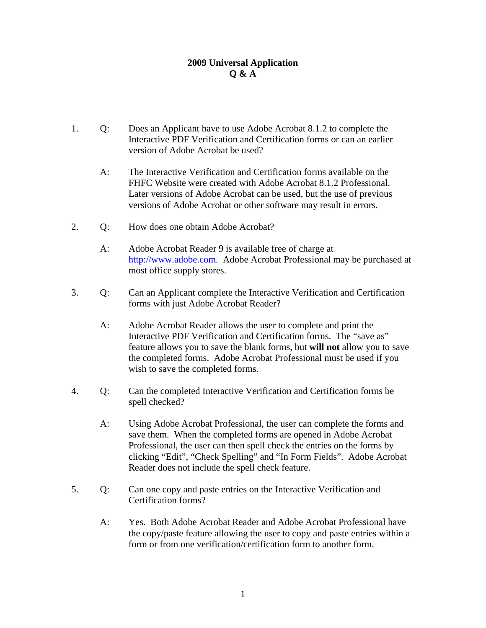# **2009 Universal Application Q & A**

- 1. Q: Does an Applicant have to use Adobe Acrobat 8.1.2 to complete the Interactive PDF Verification and Certification forms or can an earlier version of Adobe Acrobat be used?
	- A: The Interactive Verification and Certification forms available on the FHFC Website were created with Adobe Acrobat 8.1.2 Professional. Later versions of Adobe Acrobat can be used, but the use of previous versions of Adobe Acrobat or other software may result in errors.
- 2. Q: How does one obtain Adobe Acrobat?
	- A: Adobe Acrobat Reader 9 is available free of charge at http://www.adobe.com. Adobe Acrobat Professional may be purchased at most office supply stores.
- 3. Q: Can an Applicant complete the Interactive Verification and Certification forms with just Adobe Acrobat Reader?
	- A: Adobe Acrobat Reader allows the user to complete and print the Interactive PDF Verification and Certification forms. The "save as" feature allows you to save the blank forms, but **will not** allow you to save the completed forms. Adobe Acrobat Professional must be used if you wish to save the completed forms.
- 4. Q: Can the completed Interactive Verification and Certification forms be spell checked?
	- A: Using Adobe Acrobat Professional, the user can complete the forms and save them. When the completed forms are opened in Adobe Acrobat Professional, the user can then spell check the entries on the forms by clicking "Edit", "Check Spelling" and "In Form Fields". Adobe Acrobat Reader does not include the spell check feature.
- 5. Q: Can one copy and paste entries on the Interactive Verification and Certification forms?
	- A: Yes. Both Adobe Acrobat Reader and Adobe Acrobat Professional have the copy/paste feature allowing the user to copy and paste entries within a form or from one verification/certification form to another form.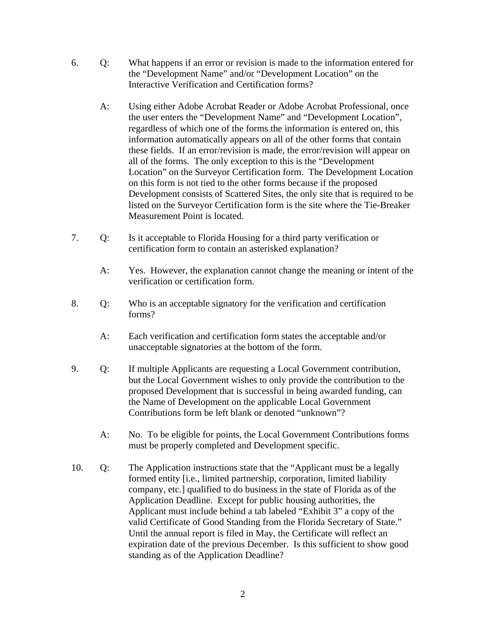- 6. Q: What happens if an error or revision is made to the information entered for the "Development Name" and/or "Development Location" on the Interactive Verification and Certification forms?
	- A: Using either Adobe Acrobat Reader or Adobe Acrobat Professional, once the user enters the "Development Name" and "Development Location", regardless of which one of the forms the information is entered on, this information automatically appears on all of the other forms that contain these fields. If an error/revision is made, the error/revision will appear on all of the forms. The only exception to this is the "Development Location" on the Surveyor Certification form. The Development Location on this form is not tied to the other forms because if the proposed Development consists of Scattered Sites, the only site that is required to be listed on the Surveyor Certification form is the site where the Tie-Breaker Measurement Point is located.
- 7. Q: Is it acceptable to Florida Housing for a third party verification or certification form to contain an asterisked explanation?
	- A: Yes. However, the explanation cannot change the meaning or intent of the verification or certification form.
- 8. Q: Who is an acceptable signatory for the verification and certification forms?
	- A: Each verification and certification form states the acceptable and/or unacceptable signatories at the bottom of the form.
- 9. Q: If multiple Applicants are requesting a Local Government contribution, but the Local Government wishes to only provide the contribution to the proposed Development that is successful in being awarded funding, can the Name of Development on the applicable Local Government Contributions form be left blank or denoted "unknown"?
	- A: No. To be eligible for points, the Local Government Contributions forms must be properly completed and Development specific.
- 10. Q: The Application instructions state that the "Applicant must be a legally formed entity [i.e., limited partnership, corporation, limited liability company, etc.] qualified to do business in the state of Florida as of the Application Deadline. Except for public housing authorities, the Applicant must include behind a tab labeled "Exhibit 3" a copy of the valid Certificate of Good Standing from the Florida Secretary of State." Until the annual report is filed in May, the Certificate will reflect an expiration date of the previous December. Is this sufficient to show good standing as of the Application Deadline?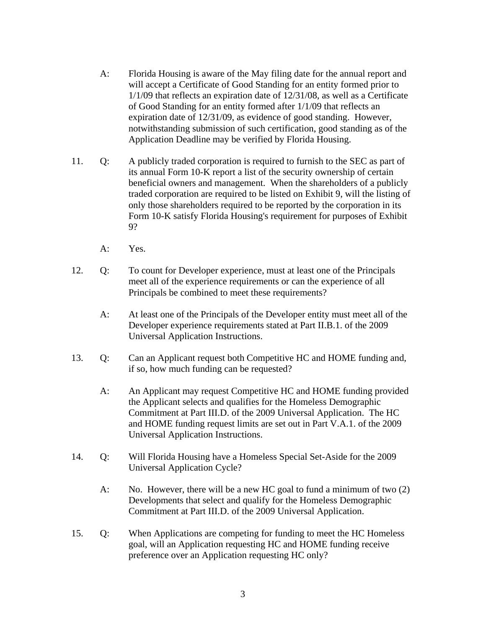- A: Florida Housing is aware of the May filing date for the annual report and will accept a Certificate of Good Standing for an entity formed prior to 1/1/09 that reflects an expiration date of 12/31/08, as well as a Certificate of Good Standing for an entity formed after 1/1/09 that reflects an expiration date of 12/31/09, as evidence of good standing. However, notwithstanding submission of such certification, good standing as of the Application Deadline may be verified by Florida Housing.
- 11. Q: A publicly traded corporation is required to furnish to the SEC as part of its annual Form 10-K report a list of the security ownership of certain beneficial owners and management. When the shareholders of a publicly traded corporation are required to be listed on Exhibit 9, will the listing of only those shareholders required to be reported by the corporation in its Form 10-K satisfy Florida Housing's requirement for purposes of Exhibit 9?
	- A: Yes.
- 12. Q: To count for Developer experience, must at least one of the Principals meet all of the experience requirements or can the experience of all Principals be combined to meet these requirements?
	- A: At least one of the Principals of the Developer entity must meet all of the Developer experience requirements stated at Part II.B.1. of the 2009 Universal Application Instructions.
- 13. Q: Can an Applicant request both Competitive HC and HOME funding and, if so, how much funding can be requested?
	- A: An Applicant may request Competitive HC and HOME funding provided the Applicant selects and qualifies for the Homeless Demographic Commitment at Part III.D. of the 2009 Universal Application. The HC and HOME funding request limits are set out in Part V.A.1. of the 2009 Universal Application Instructions.
- 14. Q: Will Florida Housing have a Homeless Special Set-Aside for the 2009 Universal Application Cycle?
	- A: No. However, there will be a new HC goal to fund a minimum of two (2) Developments that select and qualify for the Homeless Demographic Commitment at Part III.D. of the 2009 Universal Application.
- 15. Q: When Applications are competing for funding to meet the HC Homeless goal, will an Application requesting HC and HOME funding receive preference over an Application requesting HC only?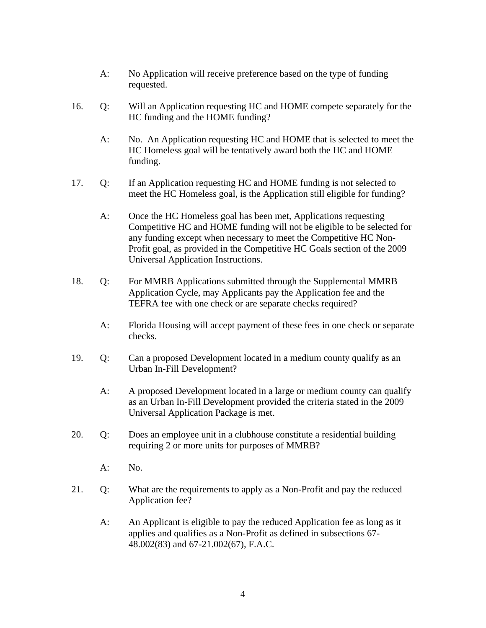- A: No Application will receive preference based on the type of funding requested.
- 16. Q: Will an Application requesting HC and HOME compete separately for the HC funding and the HOME funding?
	- A: No. An Application requesting HC and HOME that is selected to meet the HC Homeless goal will be tentatively award both the HC and HOME funding.
- 17. Q: If an Application requesting HC and HOME funding is not selected to meet the HC Homeless goal, is the Application still eligible for funding?
	- A: Once the HC Homeless goal has been met, Applications requesting Competitive HC and HOME funding will not be eligible to be selected for any funding except when necessary to meet the Competitive HC Non-Profit goal, as provided in the Competitive HC Goals section of the 2009 Universal Application Instructions.
- 18. Q: For MMRB Applications submitted through the Supplemental MMRB Application Cycle, may Applicants pay the Application fee and the TEFRA fee with one check or are separate checks required?
	- A: Florida Housing will accept payment of these fees in one check or separate checks.
- 19. Q: Can a proposed Development located in a medium county qualify as an Urban In-Fill Development?
	- A: A proposed Development located in a large or medium county can qualify as an Urban In-Fill Development provided the criteria stated in the 2009 Universal Application Package is met.
- 20. Q: Does an employee unit in a clubhouse constitute a residential building requiring 2 or more units for purposes of MMRB?
	- $A:$  No.
- 21. Q: What are the requirements to apply as a Non-Profit and pay the reduced Application fee?
	- A: An Applicant is eligible to pay the reduced Application fee as long as it applies and qualifies as a Non-Profit as defined in subsections 67- 48.002(83) and 67-21.002(67), F.A.C.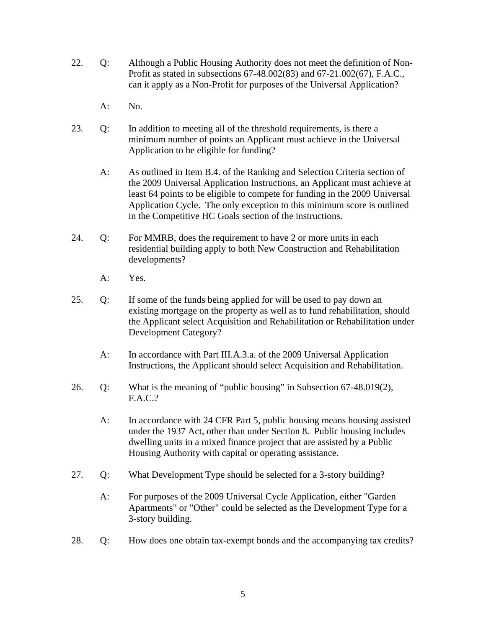- 22. Q: Although a Public Housing Authority does not meet the definition of Non-Profit as stated in subsections 67-48.002(83) and 67-21.002(67), F.A.C., can it apply as a Non-Profit for purposes of the Universal Application?
	- $A:$  No.
- 23. Q: In addition to meeting all of the threshold requirements, is there a minimum number of points an Applicant must achieve in the Universal Application to be eligible for funding?
	- A: As outlined in Item B.4. of the Ranking and Selection Criteria section of the 2009 Universal Application Instructions, an Applicant must achieve at least 64 points to be eligible to compete for funding in the 2009 Universal Application Cycle. The only exception to this minimum score is outlined in the Competitive HC Goals section of the instructions.
- 24. Q: For MMRB, does the requirement to have 2 or more units in each residential building apply to both New Construction and Rehabilitation developments?
	- A: Yes.
- 25. Q: If some of the funds being applied for will be used to pay down an existing mortgage on the property as well as to fund rehabilitation, should the Applicant select Acquisition and Rehabilitation or Rehabilitation under Development Category?
	- A: In accordance with Part III.A.3.a. of the 2009 Universal Application Instructions, the Applicant should select Acquisition and Rehabilitation.
- 26. Q: What is the meaning of "public housing" in Subsection 67-48.019(2), F.A.C.?
	- A: In accordance with 24 CFR Part 5, public housing means housing assisted under the 1937 Act, other than under Section 8. Public housing includes dwelling units in a mixed finance project that are assisted by a Public Housing Authority with capital or operating assistance.
- 27. Q: What Development Type should be selected for a 3-story building?
	- A: For purposes of the 2009 Universal Cycle Application, either "Garden Apartments" or "Other" could be selected as the Development Type for a 3-story building.
- 28. Q: How does one obtain tax-exempt bonds and the accompanying tax credits?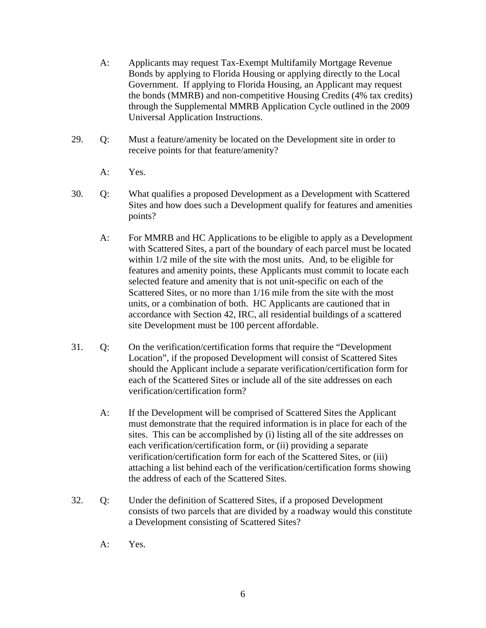- A: Applicants may request Tax-Exempt Multifamily Mortgage Revenue Bonds by applying to Florida Housing or applying directly to the Local Government. If applying to Florida Housing, an Applicant may request the bonds (MMRB) and non-competitive Housing Credits (4% tax credits) through the Supplemental MMRB Application Cycle outlined in the 2009 Universal Application Instructions.
- 29. Q: Must a feature/amenity be located on the Development site in order to receive points for that feature/amenity?
	- A: Yes.
- 30. Q: What qualifies a proposed Development as a Development with Scattered Sites and how does such a Development qualify for features and amenities points?
	- A: For MMRB and HC Applications to be eligible to apply as a Development with Scattered Sites, a part of the boundary of each parcel must be located within 1/2 mile of the site with the most units. And, to be eligible for features and amenity points, these Applicants must commit to locate each selected feature and amenity that is not unit-specific on each of the Scattered Sites, or no more than 1/16 mile from the site with the most units, or a combination of both. HC Applicants are cautioned that in accordance with Section 42, IRC, all residential buildings of a scattered site Development must be 100 percent affordable.
- 31. Q: On the verification/certification forms that require the "Development Location", if the proposed Development will consist of Scattered Sites should the Applicant include a separate verification/certification form for each of the Scattered Sites or include all of the site addresses on each verification/certification form?
	- A: If the Development will be comprised of Scattered Sites the Applicant must demonstrate that the required information is in place for each of the sites. This can be accomplished by (i) listing all of the site addresses on each verification/certification form, or (ii) providing a separate verification/certification form for each of the Scattered Sites, or (iii) attaching a list behind each of the verification/certification forms showing the address of each of the Scattered Sites.
- 32. Q: Under the definition of Scattered Sites, if a proposed Development consists of two parcels that are divided by a roadway would this constitute a Development consisting of Scattered Sites?
	- A: Yes.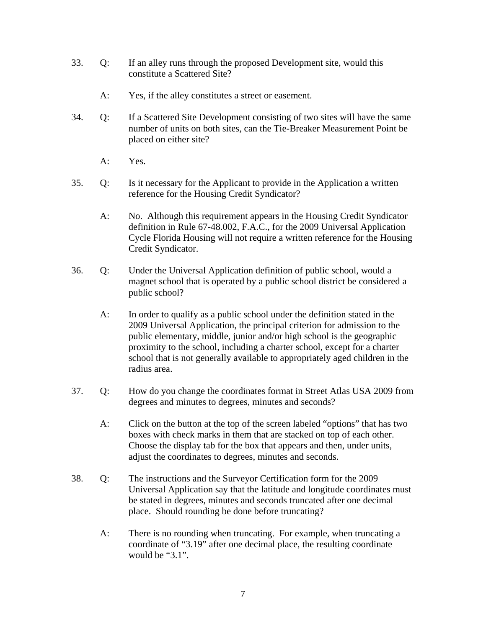- 33. Q: If an alley runs through the proposed Development site, would this constitute a Scattered Site?
	- A: Yes, if the alley constitutes a street or easement.
- 34. Q: If a Scattered Site Development consisting of two sites will have the same number of units on both sites, can the Tie-Breaker Measurement Point be placed on either site?
	- A: Yes.
- 35. Q: Is it necessary for the Applicant to provide in the Application a written reference for the Housing Credit Syndicator?
	- A: No. Although this requirement appears in the Housing Credit Syndicator definition in Rule 67-48.002, F.A.C., for the 2009 Universal Application Cycle Florida Housing will not require a written reference for the Housing Credit Syndicator.
- 36. Q: Under the Universal Application definition of public school, would a magnet school that is operated by a public school district be considered a public school?
	- A: In order to qualify as a public school under the definition stated in the 2009 Universal Application, the principal criterion for admission to the public elementary, middle, junior and/or high school is the geographic proximity to the school, including a charter school, except for a charter school that is not generally available to appropriately aged children in the radius area.
- 37. Q: How do you change the coordinates format in Street Atlas USA 2009 from degrees and minutes to degrees, minutes and seconds?
	- A: Click on the button at the top of the screen labeled "options" that has two boxes with check marks in them that are stacked on top of each other. Choose the display tab for the box that appears and then, under units, adjust the coordinates to degrees, minutes and seconds.
- 38. Q: The instructions and the Surveyor Certification form for the 2009 Universal Application say that the latitude and longitude coordinates must be stated in degrees, minutes and seconds truncated after one decimal place. Should rounding be done before truncating?
	- A: There is no rounding when truncating. For example, when truncating a coordinate of "3.19" after one decimal place, the resulting coordinate would be "3.1".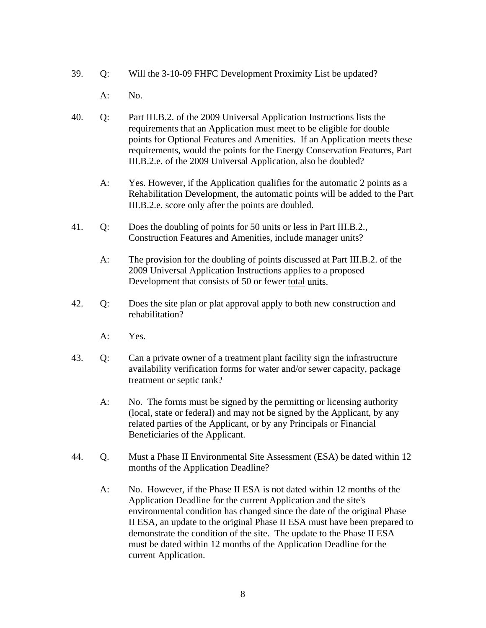- 39. Q: Will the 3-10-09 FHFC Development Proximity List be updated?
	- A: No.
- 40. Q: Part III.B.2. of the 2009 Universal Application Instructions lists the requirements that an Application must meet to be eligible for double points for Optional Features and Amenities. If an Application meets these requirements, would the points for the Energy Conservation Features, Part III.B.2.e. of the 2009 Universal Application, also be doubled?
	- A: Yes. However, if the Application qualifies for the automatic 2 points as a Rehabilitation Development, the automatic points will be added to the Part III.B.2.e. score only after the points are doubled.
- 41. Q: Does the doubling of points for 50 units or less in Part III.B.2., Construction Features and Amenities, include manager units?
	- A: The provision for the doubling of points discussed at Part III.B.2. of the 2009 Universal Application Instructions applies to a proposed Development that consists of 50 or fewer total units.
- 42. Q: Does the site plan or plat approval apply to both new construction and rehabilitation?
	- A: Yes.
- 43. Q: Can a private owner of a treatment plant facility sign the infrastructure availability verification forms for water and/or sewer capacity, package treatment or septic tank?
	- A: No. The forms must be signed by the permitting or licensing authority (local, state or federal) and may not be signed by the Applicant, by any related parties of the Applicant, or by any Principals or Financial Beneficiaries of the Applicant.
- 44. Q. Must a Phase II Environmental Site Assessment (ESA) be dated within 12 months of the Application Deadline?
	- A: No. However, if the Phase II ESA is not dated within 12 months of the Application Deadline for the current Application and the site's environmental condition has changed since the date of the original Phase II ESA, an update to the original Phase II ESA must have been prepared to demonstrate the condition of the site. The update to the Phase II ESA must be dated within 12 months of the Application Deadline for the current Application.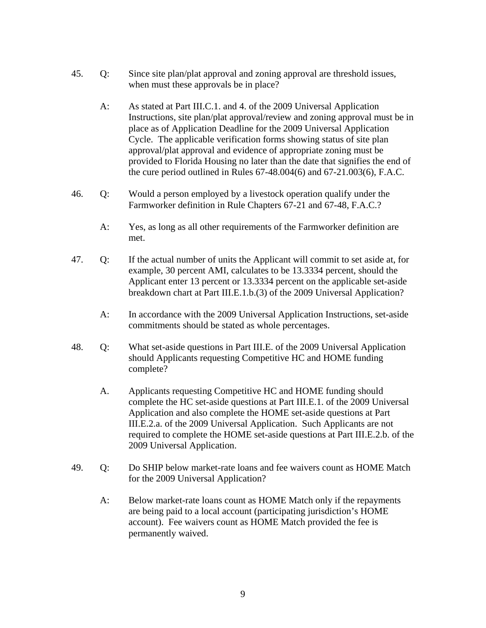- 45. Q: Since site plan/plat approval and zoning approval are threshold issues, when must these approvals be in place?
	- A: As stated at Part III.C.1. and 4. of the 2009 Universal Application Instructions, site plan/plat approval/review and zoning approval must be in place as of Application Deadline for the 2009 Universal Application Cycle. The applicable verification forms showing status of site plan approval/plat approval and evidence of appropriate zoning must be provided to Florida Housing no later than the date that signifies the end of the cure period outlined in Rules 67-48.004(6) and 67-21.003(6), F.A.C.
- 46. Q: Would a person employed by a livestock operation qualify under the Farmworker definition in Rule Chapters 67-21 and 67-48, F.A.C.?
	- A: Yes, as long as all other requirements of the Farmworker definition are met.
- 47. Q: If the actual number of units the Applicant will commit to set aside at, for example, 30 percent AMI, calculates to be 13.3334 percent, should the Applicant enter 13 percent or 13.3334 percent on the applicable set-aside breakdown chart at Part III.E.1.b.(3) of the 2009 Universal Application?
	- A: In accordance with the 2009 Universal Application Instructions, set-aside commitments should be stated as whole percentages.
- 48. Q: What set-aside questions in Part III.E. of the 2009 Universal Application should Applicants requesting Competitive HC and HOME funding complete?
	- A. Applicants requesting Competitive HC and HOME funding should complete the HC set-aside questions at Part III.E.1. of the 2009 Universal Application and also complete the HOME set-aside questions at Part III.E.2.a. of the 2009 Universal Application. Such Applicants are not required to complete the HOME set-aside questions at Part III.E.2.b. of the 2009 Universal Application.
- 49. Q: Do SHIP below market-rate loans and fee waivers count as HOME Match for the 2009 Universal Application?
	- A: Below market-rate loans count as HOME Match only if the repayments are being paid to a local account (participating jurisdiction's HOME account). Fee waivers count as HOME Match provided the fee is permanently waived.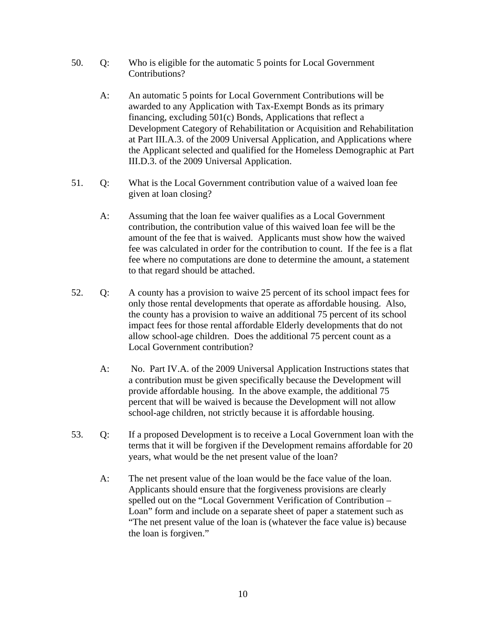- 50. Q: Who is eligible for the automatic 5 points for Local Government Contributions?
	- A: An automatic 5 points for Local Government Contributions will be awarded to any Application with Tax-Exempt Bonds as its primary financing, excluding 501(c) Bonds, Applications that reflect a Development Category of Rehabilitation or Acquisition and Rehabilitation at Part III.A.3. of the 2009 Universal Application, and Applications where the Applicant selected and qualified for the Homeless Demographic at Part III.D.3. of the 2009 Universal Application.
- 51. Q: What is the Local Government contribution value of a waived loan fee given at loan closing?
	- A: Assuming that the loan fee waiver qualifies as a Local Government contribution, the contribution value of this waived loan fee will be the amount of the fee that is waived. Applicants must show how the waived fee was calculated in order for the contribution to count. If the fee is a flat fee where no computations are done to determine the amount, a statement to that regard should be attached.
- 52. Q: A county has a provision to waive 25 percent of its school impact fees for only those rental developments that operate as affordable housing. Also, the county has a provision to waive an additional 75 percent of its school impact fees for those rental affordable Elderly developments that do not allow school-age children. Does the additional 75 percent count as a Local Government contribution?
	- A: No. Part IV.A. of the 2009 Universal Application Instructions states that a contribution must be given specifically because the Development will provide affordable housing. In the above example, the additional 75 percent that will be waived is because the Development will not allow school-age children, not strictly because it is affordable housing.
- 53. Q: If a proposed Development is to receive a Local Government loan with the terms that it will be forgiven if the Development remains affordable for 20 years, what would be the net present value of the loan?
	- A: The net present value of the loan would be the face value of the loan. Applicants should ensure that the forgiveness provisions are clearly spelled out on the "Local Government Verification of Contribution – Loan" form and include on a separate sheet of paper a statement such as "The net present value of the loan is (whatever the face value is) because the loan is forgiven."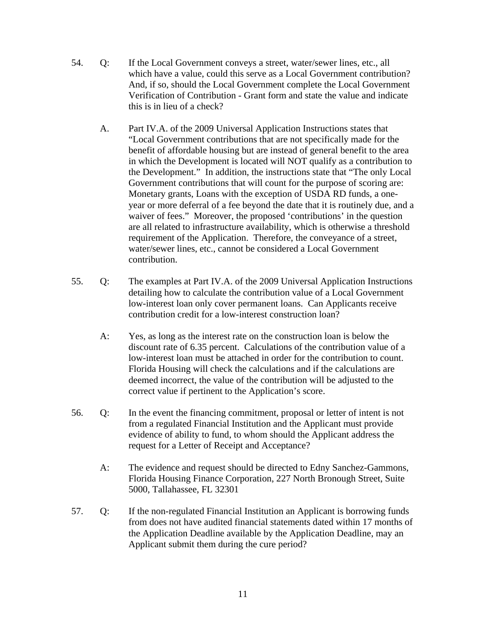- 54. Q: If the Local Government conveys a street, water/sewer lines, etc., all which have a value, could this serve as a Local Government contribution? And, if so, should the Local Government complete the Local Government Verification of Contribution - Grant form and state the value and indicate this is in lieu of a check?
	- A. Part IV.A. of the 2009 Universal Application Instructions states that "Local Government contributions that are not specifically made for the benefit of affordable housing but are instead of general benefit to the area in which the Development is located will NOT qualify as a contribution to the Development." In addition, the instructions state that "The only Local Government contributions that will count for the purpose of scoring are: Monetary grants, Loans with the exception of USDA RD funds, a oneyear or more deferral of a fee beyond the date that it is routinely due, and a waiver of fees." Moreover, the proposed 'contributions' in the question are all related to infrastructure availability, which is otherwise a threshold requirement of the Application. Therefore, the conveyance of a street, water/sewer lines, etc., cannot be considered a Local Government contribution.
- 55. Q: The examples at Part IV.A. of the 2009 Universal Application Instructions detailing how to calculate the contribution value of a Local Government low-interest loan only cover permanent loans. Can Applicants receive contribution credit for a low-interest construction loan?
	- A: Yes, as long as the interest rate on the construction loan is below the discount rate of 6.35 percent. Calculations of the contribution value of a low-interest loan must be attached in order for the contribution to count. Florida Housing will check the calculations and if the calculations are deemed incorrect, the value of the contribution will be adjusted to the correct value if pertinent to the Application's score.
- 56. Q: In the event the financing commitment, proposal or letter of intent is not from a regulated Financial Institution and the Applicant must provide evidence of ability to fund, to whom should the Applicant address the request for a Letter of Receipt and Acceptance?
	- A: The evidence and request should be directed to Edny Sanchez-Gammons, Florida Housing Finance Corporation, 227 North Bronough Street, Suite 5000, Tallahassee, FL 32301
- 57. Q: If the non-regulated Financial Institution an Applicant is borrowing funds from does not have audited financial statements dated within 17 months of the Application Deadline available by the Application Deadline, may an Applicant submit them during the cure period?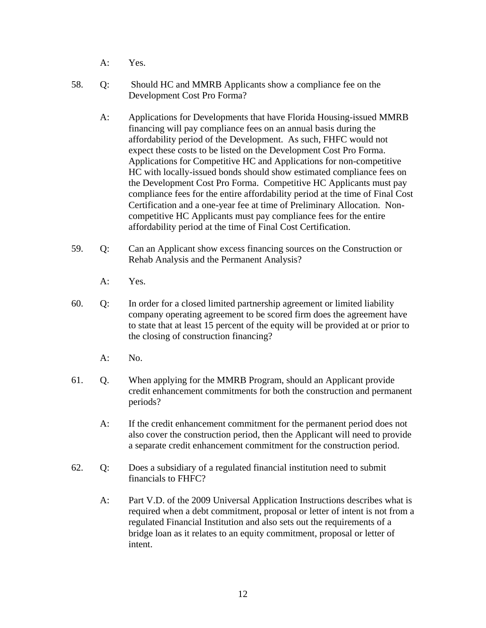- A: Yes.
- 58. Q: Should HC and MMRB Applicants show a compliance fee on the Development Cost Pro Forma?
	- A: Applications for Developments that have Florida Housing-issued MMRB financing will pay compliance fees on an annual basis during the affordability period of the Development. As such, FHFC would not expect these costs to be listed on the Development Cost Pro Forma. Applications for Competitive HC and Applications for non-competitive HC with locally-issued bonds should show estimated compliance fees on the Development Cost Pro Forma. Competitive HC Applicants must pay compliance fees for the entire affordability period at the time of Final Cost Certification and a one-year fee at time of Preliminary Allocation. Noncompetitive HC Applicants must pay compliance fees for the entire affordability period at the time of Final Cost Certification.
- 59. Q: Can an Applicant show excess financing sources on the Construction or Rehab Analysis and the Permanent Analysis?
	- A: Yes.
- 60. Q: In order for a closed limited partnership agreement or limited liability company operating agreement to be scored firm does the agreement have to state that at least 15 percent of the equity will be provided at or prior to the closing of construction financing?
	- $A:$  No.
- 61. Q. When applying for the MMRB Program, should an Applicant provide credit enhancement commitments for both the construction and permanent periods?
	- A: If the credit enhancement commitment for the permanent period does not also cover the construction period, then the Applicant will need to provide a separate credit enhancement commitment for the construction period.
- 62. Q: Does a subsidiary of a regulated financial institution need to submit financials to FHFC?
	- A: Part V.D. of the 2009 Universal Application Instructions describes what is required when a debt commitment, proposal or letter of intent is not from a regulated Financial Institution and also sets out the requirements of a bridge loan as it relates to an equity commitment, proposal or letter of intent.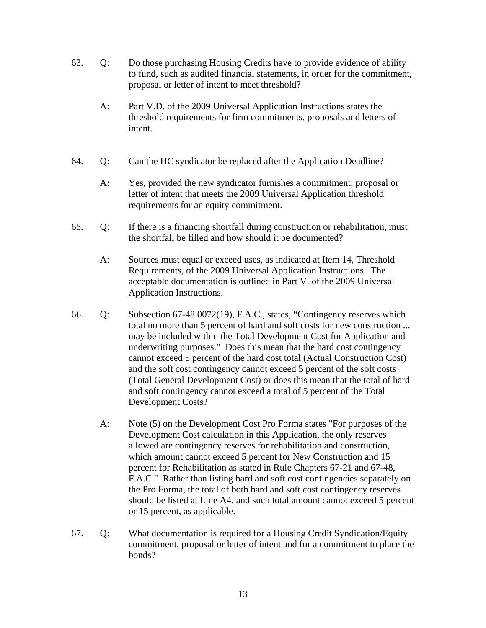- 63. Q: Do those purchasing Housing Credits have to provide evidence of ability to fund, such as audited financial statements, in order for the commitment, proposal or letter of intent to meet threshold?
	- A: Part V.D. of the 2009 Universal Application Instructions states the threshold requirements for firm commitments, proposals and letters of intent.
- 64. Q: Can the HC syndicator be replaced after the Application Deadline?
	- A: Yes, provided the new syndicator furnishes a commitment, proposal or letter of intent that meets the 2009 Universal Application threshold requirements for an equity commitment.
- 65. Q: If there is a financing shortfall during construction or rehabilitation, must the shortfall be filled and how should it be documented?
	- A: Sources must equal or exceed uses, as indicated at Item 14, Threshold Requirements, of the 2009 Universal Application Instructions. The acceptable documentation is outlined in Part V. of the 2009 Universal Application Instructions.
- 66. Q: Subsection 67-48.0072(19), F.A.C., states, "Contingency reserves which total no more than 5 percent of hard and soft costs for new construction ... may be included within the Total Development Cost for Application and underwriting purposes." Does this mean that the hard cost contingency cannot exceed 5 percent of the hard cost total (Actual Construction Cost) and the soft cost contingency cannot exceed 5 percent of the soft costs (Total General Development Cost) or does this mean that the total of hard and soft contingency cannot exceed a total of 5 percent of the Total Development Costs?
	- A: Note (5) on the Development Cost Pro Forma states "For purposes of the Development Cost calculation in this Application, the only reserves allowed are contingency reserves for rehabilitation and construction, which amount cannot exceed 5 percent for New Construction and 15 percent for Rehabilitation as stated in Rule Chapters 67-21 and 67-48, F.A.C." Rather than listing hard and soft cost contingencies separately on the Pro Forma, the total of both hard and soft cost contingency reserves should be listed at Line A4. and such total amount cannot exceed 5 percent or 15 percent, as applicable.
- 67. Q: What documentation is required for a Housing Credit Syndication/Equity commitment, proposal or letter of intent and for a commitment to place the bonds?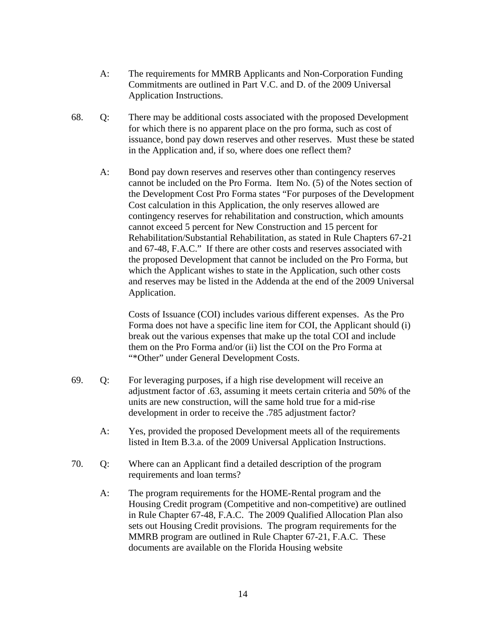- A: The requirements for MMRB Applicants and Non-Corporation Funding Commitments are outlined in Part V.C. and D. of the 2009 Universal Application Instructions.
- 68. Q: There may be additional costs associated with the proposed Development for which there is no apparent place on the pro forma, such as cost of issuance, bond pay down reserves and other reserves. Must these be stated in the Application and, if so, where does one reflect them?
	- A: Bond pay down reserves and reserves other than contingency reserves cannot be included on the Pro Forma. Item No. (5) of the Notes section of the Development Cost Pro Forma states "For purposes of the Development Cost calculation in this Application, the only reserves allowed are contingency reserves for rehabilitation and construction, which amounts cannot exceed 5 percent for New Construction and 15 percent for Rehabilitation/Substantial Rehabilitation, as stated in Rule Chapters 67-21 and 67-48, F.A.C." If there are other costs and reserves associated with the proposed Development that cannot be included on the Pro Forma, but which the Applicant wishes to state in the Application, such other costs and reserves may be listed in the Addenda at the end of the 2009 Universal Application.

 Costs of Issuance (COI) includes various different expenses. As the Pro Forma does not have a specific line item for COI, the Applicant should (i) break out the various expenses that make up the total COI and include them on the Pro Forma and/or (ii) list the COI on the Pro Forma at "\*Other" under General Development Costs.

- 69. Q: For leveraging purposes, if a high rise development will receive an adjustment factor of .63, assuming it meets certain criteria and 50% of the units are new construction, will the same hold true for a mid-rise development in order to receive the .785 adjustment factor?
	- A: Yes, provided the proposed Development meets all of the requirements listed in Item B.3.a. of the 2009 Universal Application Instructions.
- 70. Q: Where can an Applicant find a detailed description of the program requirements and loan terms?
	- A: The program requirements for the HOME-Rental program and the Housing Credit program (Competitive and non-competitive) are outlined in Rule Chapter 67-48, F.A.C. The 2009 Qualified Allocation Plan also sets out Housing Credit provisions. The program requirements for the MMRB program are outlined in Rule Chapter 67-21, F.A.C. These documents are available on the Florida Housing website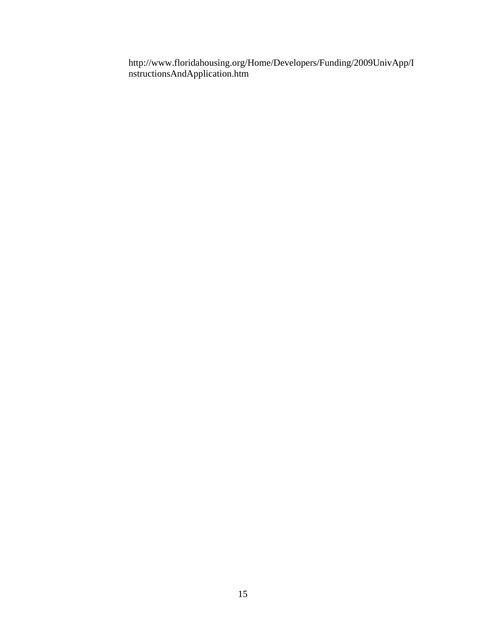http://www.floridahousing.org/Home/Developers/Funding/2009UnivApp/I nstructionsAndApplication.htm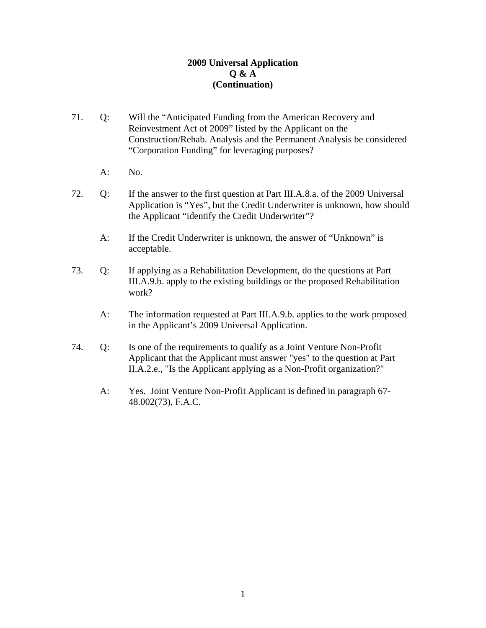- 71. Q: Will the "Anticipated Funding from the American Recovery and Reinvestment Act of 2009" listed by the Applicant on the Construction/Rehab. Analysis and the Permanent Analysis be considered "Corporation Funding" for leveraging purposes?
	- A: No.
- 72. Q: If the answer to the first question at Part III.A.8.a. of the 2009 Universal Application is "Yes", but the Credit Underwriter is unknown, how should the Applicant "identify the Credit Underwriter"?
	- A: If the Credit Underwriter is unknown, the answer of "Unknown" is acceptable.
- 73. Q: If applying as a Rehabilitation Development, do the questions at Part III.A.9.b. apply to the existing buildings or the proposed Rehabilitation work?
	- A: The information requested at Part III.A.9.b. applies to the work proposed in the Applicant's 2009 Universal Application.
- 74. Q: Is one of the requirements to qualify as a Joint Venture Non-Profit Applicant that the Applicant must answer "yes" to the question at Part II.A.2.e., "Is the Applicant applying as a Non-Profit organization?"
	- A: Yes. Joint Venture Non-Profit Applicant is defined in paragraph 67- 48.002(73), F.A.C.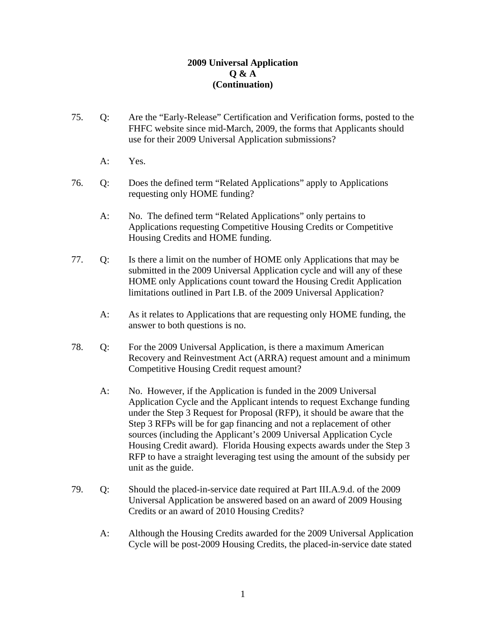- 75. Q: Are the "Early-Release" Certification and Verification forms, posted to the FHFC website since mid-March, 2009, the forms that Applicants should use for their 2009 Universal Application submissions?
	- A: Yes.
- 76. Q: Does the defined term "Related Applications" apply to Applications requesting only HOME funding?
	- A: No. The defined term "Related Applications" only pertains to Applications requesting Competitive Housing Credits or Competitive Housing Credits and HOME funding.
- 77. Q: Is there a limit on the number of HOME only Applications that may be submitted in the 2009 Universal Application cycle and will any of these HOME only Applications count toward the Housing Credit Application limitations outlined in Part I.B. of the 2009 Universal Application?
	- A: As it relates to Applications that are requesting only HOME funding, the answer to both questions is no.
- 78. Q: For the 2009 Universal Application, is there a maximum American Recovery and Reinvestment Act (ARRA) request amount and a minimum Competitive Housing Credit request amount?
	- A: No. However, if the Application is funded in the 2009 Universal Application Cycle and the Applicant intends to request Exchange funding under the Step 3 Request for Proposal (RFP), it should be aware that the Step 3 RFPs will be for gap financing and not a replacement of other sources (including the Applicant's 2009 Universal Application Cycle Housing Credit award). Florida Housing expects awards under the Step 3 RFP to have a straight leveraging test using the amount of the subsidy per unit as the guide.
- 79. Q: Should the placed-in-service date required at Part III.A.9.d. of the 2009 Universal Application be answered based on an award of 2009 Housing Credits or an award of 2010 Housing Credits?
	- A: Although the Housing Credits awarded for the 2009 Universal Application Cycle will be post-2009 Housing Credits, the placed-in-service date stated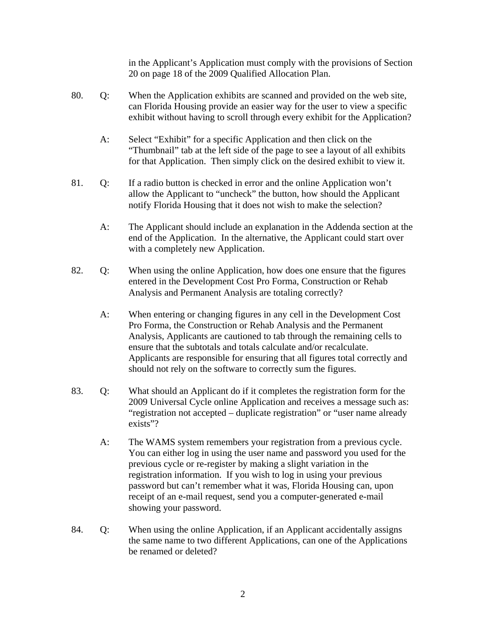in the Applicant's Application must comply with the provisions of Section 20 on page 18 of the 2009 Qualified Allocation Plan.

- 80. Q: When the Application exhibits are scanned and provided on the web site, can Florida Housing provide an easier way for the user to view a specific exhibit without having to scroll through every exhibit for the Application?
	- A: Select "Exhibit" for a specific Application and then click on the "Thumbnail" tab at the left side of the page to see a layout of all exhibits for that Application. Then simply click on the desired exhibit to view it.
- 81. Q: If a radio button is checked in error and the online Application won't allow the Applicant to "uncheck" the button, how should the Applicant notify Florida Housing that it does not wish to make the selection?
	- A: The Applicant should include an explanation in the Addenda section at the end of the Application. In the alternative, the Applicant could start over with a completely new Application.
- 82. Q: When using the online Application, how does one ensure that the figures entered in the Development Cost Pro Forma, Construction or Rehab Analysis and Permanent Analysis are totaling correctly?
	- A: When entering or changing figures in any cell in the Development Cost Pro Forma, the Construction or Rehab Analysis and the Permanent Analysis, Applicants are cautioned to tab through the remaining cells to ensure that the subtotals and totals calculate and/or recalculate. Applicants are responsible for ensuring that all figures total correctly and should not rely on the software to correctly sum the figures.
- 83. Q: What should an Applicant do if it completes the registration form for the 2009 Universal Cycle online Application and receives a message such as: "registration not accepted – duplicate registration" or "user name already exists"?
	- A: The WAMS system remembers your registration from a previous cycle. You can either log in using the user name and password you used for the previous cycle or re-register by making a slight variation in the registration information. If you wish to log in using your previous password but can't remember what it was, Florida Housing can, upon receipt of an e-mail request, send you a computer-generated e-mail showing your password.
- 84. Q: When using the online Application, if an Applicant accidentally assigns the same name to two different Applications, can one of the Applications be renamed or deleted?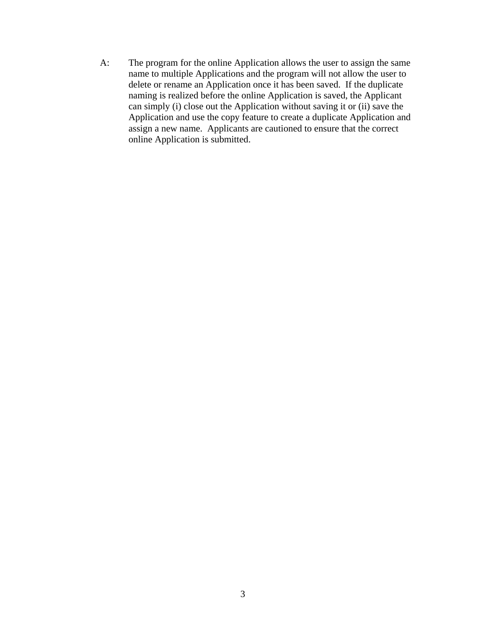A: The program for the online Application allows the user to assign the same name to multiple Applications and the program will not allow the user to delete or rename an Application once it has been saved. If the duplicate naming is realized before the online Application is saved, the Applicant can simply (i) close out the Application without saving it or (ii) save the Application and use the copy feature to create a duplicate Application and assign a new name. Applicants are cautioned to ensure that the correct online Application is submitted.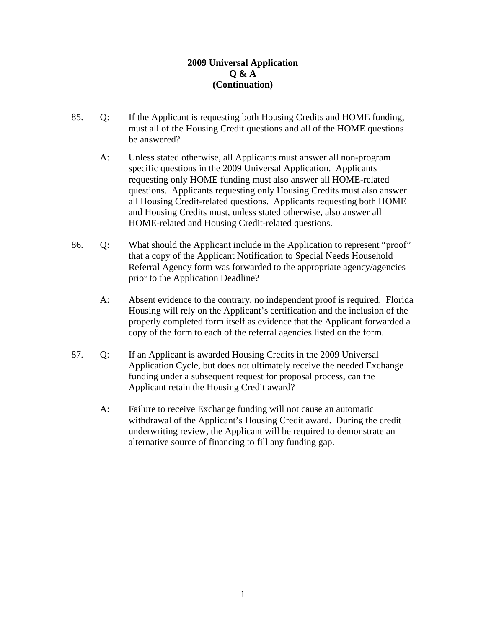- 85. Q: If the Applicant is requesting both Housing Credits and HOME funding, must all of the Housing Credit questions and all of the HOME questions be answered?
	- A: Unless stated otherwise, all Applicants must answer all non-program specific questions in the 2009 Universal Application. Applicants requesting only HOME funding must also answer all HOME-related questions. Applicants requesting only Housing Credits must also answer all Housing Credit-related questions. Applicants requesting both HOME and Housing Credits must, unless stated otherwise, also answer all HOME-related and Housing Credit-related questions.
- 86. Q: What should the Applicant include in the Application to represent "proof" that a copy of the Applicant Notification to Special Needs Household Referral Agency form was forwarded to the appropriate agency/agencies prior to the Application Deadline?
	- A: Absent evidence to the contrary, no independent proof is required. Florida Housing will rely on the Applicant's certification and the inclusion of the properly completed form itself as evidence that the Applicant forwarded a copy of the form to each of the referral agencies listed on the form.
- 87. Q: If an Applicant is awarded Housing Credits in the 2009 Universal Application Cycle, but does not ultimately receive the needed Exchange funding under a subsequent request for proposal process, can the Applicant retain the Housing Credit award?
	- A: Failure to receive Exchange funding will not cause an automatic withdrawal of the Applicant's Housing Credit award. During the credit underwriting review, the Applicant will be required to demonstrate an alternative source of financing to fill any funding gap.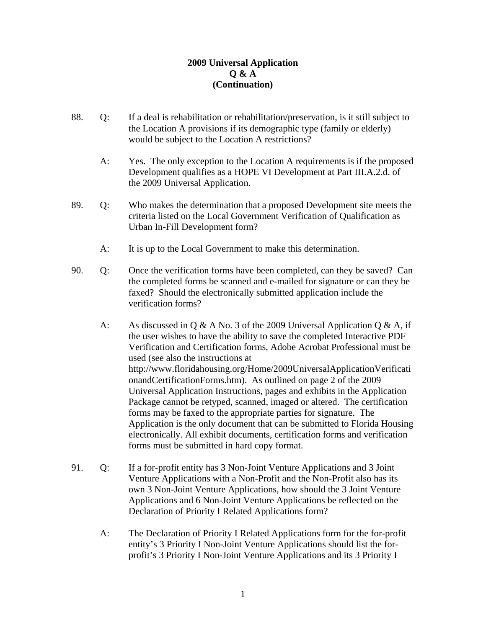- 88. Q: If a deal is rehabilitation or rehabilitation/preservation, is it still subject to the Location A provisions if its demographic type (family or elderly) would be subject to the Location A restrictions?
	- A: Yes. The only exception to the Location A requirements is if the proposed Development qualifies as a HOPE VI Development at Part III.A.2.d. of the 2009 Universal Application.
- 89. Q: Who makes the determination that a proposed Development site meets the criteria listed on the Local Government Verification of Qualification as Urban In-Fill Development form?
	- A: It is up to the Local Government to make this determination.
- 90. Q: Once the verification forms have been completed, can they be saved? Can the completed forms be scanned and e-mailed for signature or can they be faxed? Should the electronically submitted application include the verification forms?
	- A: As discussed in Q & A No. 3 of the 2009 Universal Application Q & A, if the user wishes to have the ability to save the completed Interactive PDF Verification and Certification forms, Adobe Acrobat Professional must be used (see also the instructions at http://www.floridahousing.org/Home/2009UniversalApplicationVerificati onandCertificationForms.htm). As outlined on page 2 of the 2009 Universal Application Instructions, pages and exhibits in the Application Package cannot be retyped, scanned, imaged or altered. The certification forms may be faxed to the appropriate parties for signature. The Application is the only document that can be submitted to Florida Housing electronically. All exhibit documents, certification forms and verification forms must be submitted in hard copy format.
- 91. Q: If a for-profit entity has 3 Non-Joint Venture Applications and 3 Joint Venture Applications with a Non-Profit and the Non-Profit also has its own 3 Non-Joint Venture Applications, how should the 3 Joint Venture Applications and 6 Non-Joint Venture Applications be reflected on the Declaration of Priority I Related Applications form?
	- A: The Declaration of Priority I Related Applications form for the for-profit entity's 3 Priority I Non-Joint Venture Applications should list the forprofit's 3 Priority I Non-Joint Venture Applications and its 3 Priority I